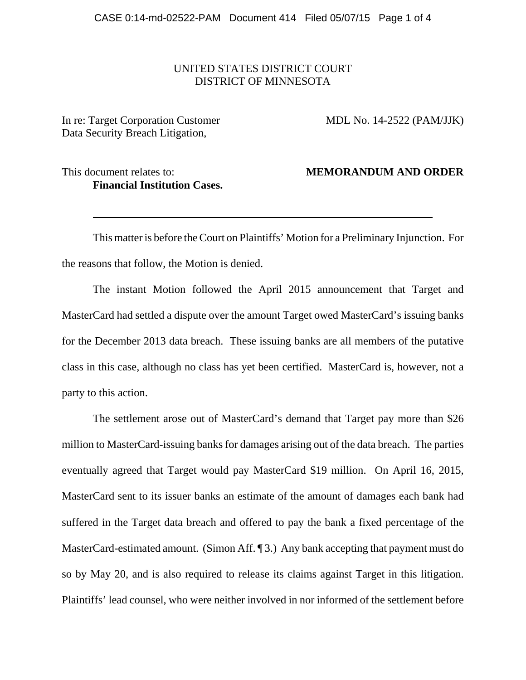## UNITED STATES DISTRICT COURT DISTRICT OF MINNESOTA

In re: Target Corporation Customer MDL No. 14-2522 (PAM/JJK) Data Security Breach Litigation,

This document relates to: **MEMORANDUM AND ORDER Financial Institution Cases.**

This matter is before the Court on Plaintiffs' Motion for a Preliminary Injunction. For the reasons that follow, the Motion is denied.

The instant Motion followed the April 2015 announcement that Target and MasterCard had settled a dispute over the amount Target owed MasterCard's issuing banks for the December 2013 data breach. These issuing banks are all members of the putative class in this case, although no class has yet been certified. MasterCard is, however, not a party to this action.

The settlement arose out of MasterCard's demand that Target pay more than \$26 million to MasterCard-issuing banks for damages arising out of the data breach. The parties eventually agreed that Target would pay MasterCard \$19 million. On April 16, 2015, MasterCard sent to its issuer banks an estimate of the amount of damages each bank had suffered in the Target data breach and offered to pay the bank a fixed percentage of the MasterCard-estimated amount. (Simon Aff. ¶ 3.) Any bank accepting that payment must do so by May 20, and is also required to release its claims against Target in this litigation. Plaintiffs' lead counsel, who were neither involved in nor informed of the settlement before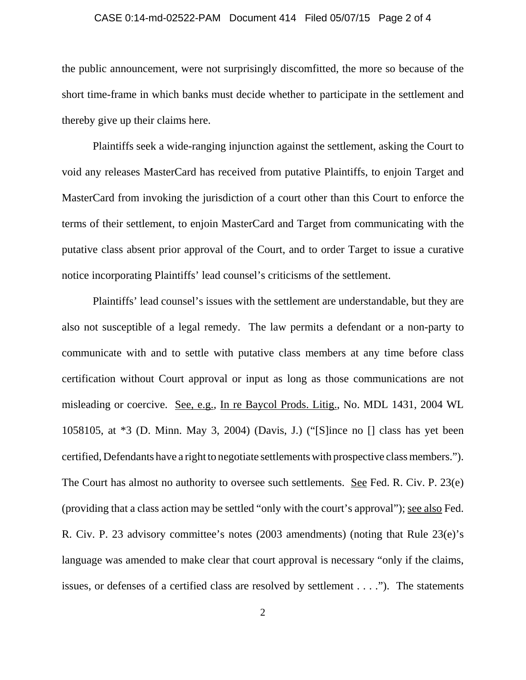### CASE 0:14-md-02522-PAM Document 414 Filed 05/07/15 Page 2 of 4

the public announcement, were not surprisingly discomfitted, the more so because of the short time-frame in which banks must decide whether to participate in the settlement and thereby give up their claims here.

Plaintiffs seek a wide-ranging injunction against the settlement, asking the Court to void any releases MasterCard has received from putative Plaintiffs, to enjoin Target and MasterCard from invoking the jurisdiction of a court other than this Court to enforce the terms of their settlement, to enjoin MasterCard and Target from communicating with the putative class absent prior approval of the Court, and to order Target to issue a curative notice incorporating Plaintiffs' lead counsel's criticisms of the settlement.

Plaintiffs' lead counsel's issues with the settlement are understandable, but they are also not susceptible of a legal remedy. The law permits a defendant or a non-party to communicate with and to settle with putative class members at any time before class certification without Court approval or input as long as those communications are not misleading or coercive. See, e.g., In re Baycol Prods. Litig., No. MDL 1431, 2004 WL 1058105, at \*3 (D. Minn. May 3, 2004) (Davis, J.) ("[S]ince no [] class has yet been certified, Defendants have a right to negotiate settlements with prospective class members."). The Court has almost no authority to oversee such settlements. See Fed. R. Civ. P. 23(e) (providing that a class action may be settled "only with the court's approval"); see also Fed. R. Civ. P. 23 advisory committee's notes (2003 amendments) (noting that Rule 23(e)'s language was amended to make clear that court approval is necessary "only if the claims, issues, or defenses of a certified class are resolved by settlement . . . ."). The statements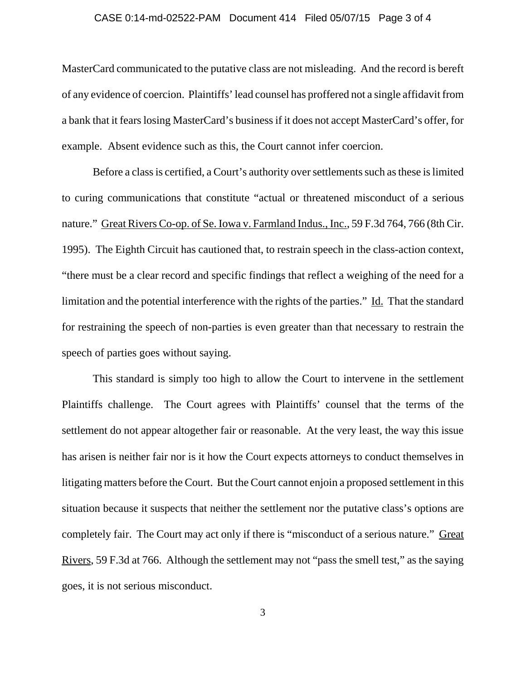#### CASE 0:14-md-02522-PAM Document 414 Filed 05/07/15 Page 3 of 4

MasterCard communicated to the putative class are not misleading. And the record is bereft of any evidence of coercion. Plaintiffs' lead counsel has proffered not a single affidavit from a bank that it fears losing MasterCard's business if it does not accept MasterCard's offer, for example. Absent evidence such as this, the Court cannot infer coercion.

Before a class is certified, a Court's authority over settlements such as these is limited to curing communications that constitute "actual or threatened misconduct of a serious nature." Great Rivers Co-op. of Se. Iowa v. Farmland Indus., Inc., 59 F.3d 764, 766 (8th Cir. 1995). The Eighth Circuit has cautioned that, to restrain speech in the class-action context, "there must be a clear record and specific findings that reflect a weighing of the need for a limitation and the potential interference with the rights of the parties." Id. That the standard for restraining the speech of non-parties is even greater than that necessary to restrain the speech of parties goes without saying.

This standard is simply too high to allow the Court to intervene in the settlement Plaintiffs challenge. The Court agrees with Plaintiffs' counsel that the terms of the settlement do not appear altogether fair or reasonable. At the very least, the way this issue has arisen is neither fair nor is it how the Court expects attorneys to conduct themselves in litigating matters before the Court. But the Court cannot enjoin a proposed settlement in this situation because it suspects that neither the settlement nor the putative class's options are completely fair. The Court may act only if there is "misconduct of a serious nature." Great Rivers, 59 F.3d at 766. Although the settlement may not "pass the smell test," as the saying goes, it is not serious misconduct.